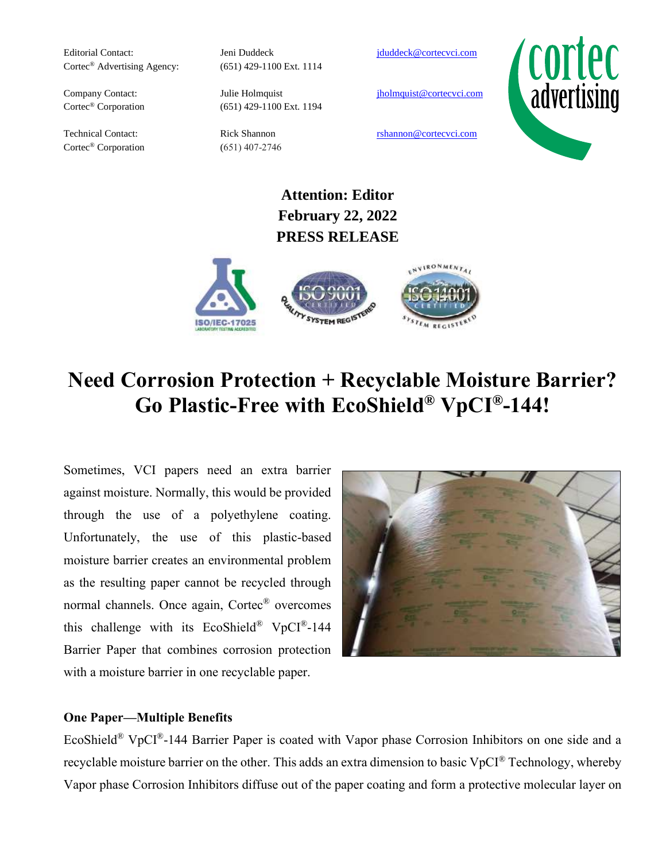Editorial Contact: Jeni Duddeck [jduddeck@cortecvci.com](mailto:jduddeck@cortecvci.com) Cortec® Advertising Agency: (651) 429-1100 Ext. 1114

Cortec<sup>®</sup> Corporation (651) 407-2746

Cortec<sup>®</sup> Corporation (651) 429-1100 Ext. 1194

Company Contact: Julie Holmquist in the individual property in the intervention of the intervention of the intervention of the intervention of the intervention of the intervention of the intervention of the intervention of



Technical Contact: Rick Shannon rshannon rshannon rshannon rshannon rshannon rshannon rshannon rshannon rshannon rshannon rshannon rshannon rshannon rshannon rshannon rshannon rshannon rshannon rshannon rshannon rshannon r

**Attention: Editor February 22, 2022 PRESS RELEASE**



# **Need Corrosion Protection + Recyclable Moisture Barrier? Go Plastic-Free with EcoShield® VpCI®-144!**

Sometimes, VCI papers need an extra barrier against moisture. Normally, this would be provided through the use of a polyethylene coating. Unfortunately, the use of this plastic-based moisture barrier creates an environmental problem as the resulting paper cannot be recycled through normal channels. Once again, Cortec® overcomes this challenge with its EcoShield® VpCI®-144 Barrier Paper that combines corrosion protection with a moisture barrier in one recyclable paper.



## **One Paper—Multiple Benefits**

EcoShield® VpCI®-144 Barrier Paper is coated with Vapor phase Corrosion Inhibitors on one side and a recyclable moisture barrier on the other. This adds an extra dimension to basic VpCI® Technology, whereby Vapor phase Corrosion Inhibitors diffuse out of the paper coating and form a protective molecular layer on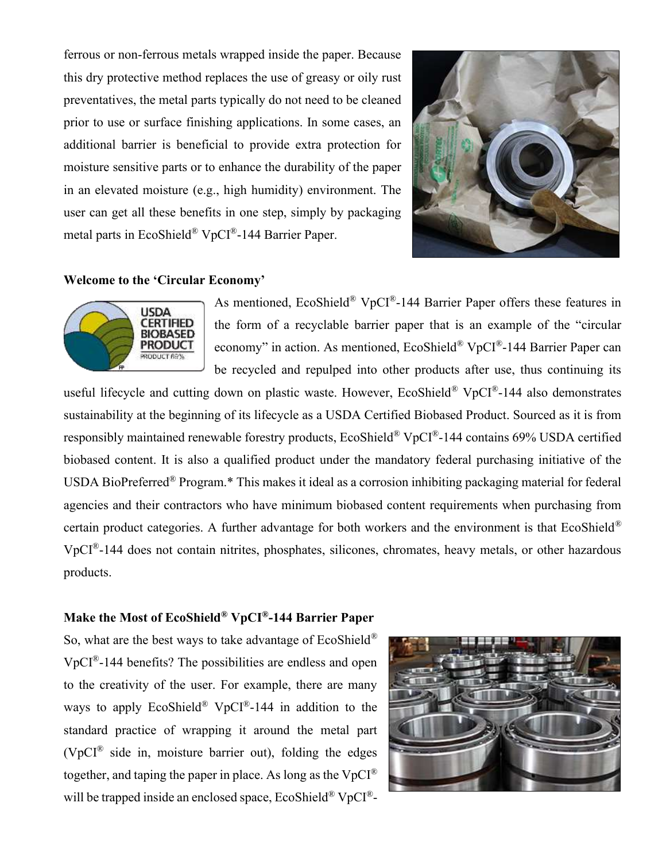ferrous or non-ferrous metals wrapped inside the paper. Because this dry protective method replaces the use of greasy or oily rust preventatives, the metal parts typically do not need to be cleaned prior to use or surface finishing applications. In some cases, an additional barrier is beneficial to provide extra protection for moisture sensitive parts or to enhance the durability of the paper in an elevated moisture (e.g., high humidity) environment. The user can get all these benefits in one step, simply by packaging metal parts in EcoShield® VpCI®-144 Barrier Paper.



#### **Welcome to the 'Circular Economy'**



As mentioned, EcoShield® VpCI®-144 Barrier Paper offers these features in the form of a recyclable barrier paper that is an example of the "circular economy" in action. As mentioned, EcoShield® VpCI®-144 Barrier Paper can be recycled and repulped into other products after use, thus continuing its

useful lifecycle and cutting down on plastic waste. However, EcoShield<sup>®</sup> VpCI<sup>®</sup>-144 also demonstrates sustainability at the beginning of its lifecycle as a USDA Certified Biobased Product. Sourced as it is from responsibly maintained renewable forestry products, EcoShield® VpCI®-144 contains 69% USDA certified biobased content. It is also a qualified product under the mandatory federal purchasing initiative of the USDA BioPreferred® Program.\* This makes it ideal as a corrosion inhibiting packaging material for federal agencies and their contractors who have minimum biobased content requirements when purchasing from certain product categories. A further advantage for both workers and the environment is that EcoShield® VpCI®-144 does not contain nitrites, phosphates, silicones, chromates, heavy metals, or other hazardous products.

#### **Make the Most of EcoShield® VpCI®-144 Barrier Paper**

So, what are the best ways to take advantage of EcoShield® VpCI®-144 benefits? The possibilities are endless and open to the creativity of the user. For example, there are many ways to apply EcoShield® VpCI®-144 in addition to the standard practice of wrapping it around the metal part ( $VpCl^®$  side in, moisture barrier out), folding the edges together, and taping the paper in place. As long as the  $VpCI^{\circledR}$ will be trapped inside an enclosed space,  $E \text{coShifted}^{\circledR} \text{VpCI}^{\circledR}$ 

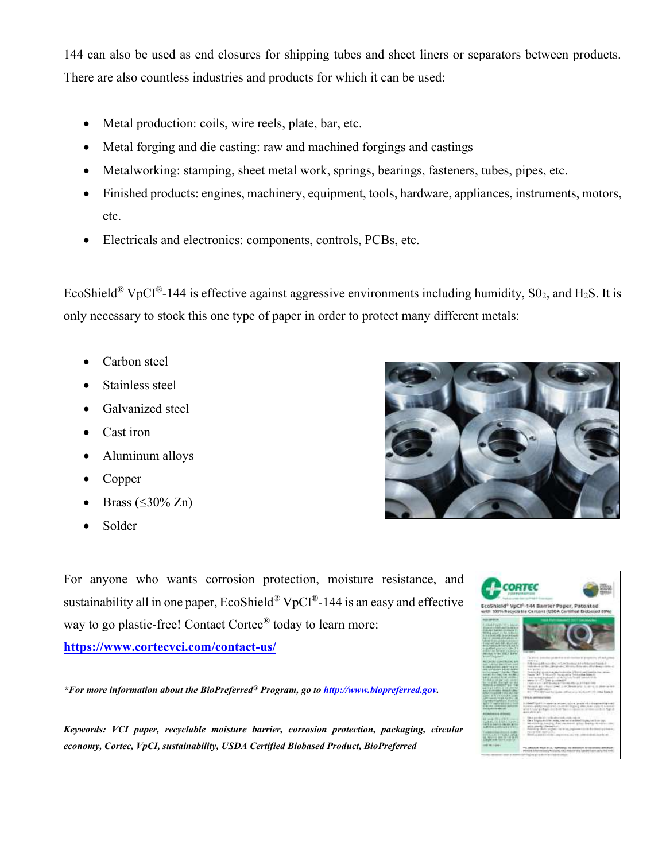144 can also be used as end closures for shipping tubes and sheet liners or separators between products. There are also countless industries and products for which it can be used:

- Metal production: coils, wire reels, plate, bar, etc.
- Metal forging and die casting: raw and machined forgings and castings
- Metalworking: stamping, sheet metal work, springs, bearings, fasteners, tubes, pipes, etc.
- Finished products: engines, machinery, equipment, tools, hardware, appliances, instruments, motors, etc.
- Electricals and electronics: components, controls, PCBs, etc.

EcoShield<sup>®</sup> VpCI<sup>®</sup>-144 is effective against aggressive environments including humidity,  $S_2$ , and H<sub>2</sub>S. It is only necessary to stock this one type of paper in order to protect many different metals:

- Carbon steel
- Stainless steel
- Galvanized steel
- Cast iron
- Aluminum alloys
- Copper
- Brass  $(\leq 30\%$  Zn)
- Solder

For anyone who wants corrosion protection, moisture resistance, and sustainability all in one paper,  $E \in Shield^{\circledR}$  VpCI<sup>®</sup>-144 is an easy and effective way to go plastic-free! Contact Cortec<sup>®</sup> today to learn more:

**<https://www.cortecvci.com/contact-us/>**

*\*For more information about the BioPreferred® Program, go t[o http://www.biopreferred.gov.](http://www.biopreferred.gov/)*

*Keywords: VCI paper, recyclable moisture barrier, corrosion protection, packaging, circular economy, Cortec, VpCI, sustainability, USDA Certified Biobased Product, BioPreferred*